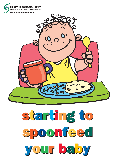

# starting to starting to spoonfeed spoonfeed your baby your baby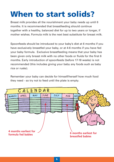### **When to start solids?**

Breast milk provides all the nourishment your baby needs up until 6 months. It is recommended that breastfeeding should continue together with a healthy, balanced diet for up to two years or longer, if mother wishes. Formula milk is the next best substitute for breast milk.

Spoonfeeds should be introduced to your baby's diet at 6 months if you have exclusively breastfed your baby, or at 4-6 months if you have fed your baby formula. Exclusive breastfeeding means that your baby has been given only breast milk with no other foods or fluids for the first 6 months. Early introduction of spoonfeeds (before 17-18 weeks) is not recommended (this includes giving your baby any foods such as baby rice or rusks).

Remember your baby can decide for himself/herself how much food they need - so try not to feed until the plate is empty.

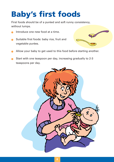### **Baby's first foods**

First foods should be of a puréed and soft runny consistency, without lumps.

- Introduce one new food at a time.
- Suitable first foods: baby rice, fruit and vegetable purées.



- Allow your baby to get used to this food before starting another.
- Start with one teaspoon per day, increasing gradually to 2-3 teaspoons per day.

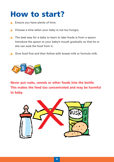### **How to start?**

- Ensure you have plenty of time.
- Choose a time when your baby is not too hungry.
- The best way for a baby to learn to take foods is from a spoon. Introduce the spoon to your baby's mouth gradually so that he or she can suck the food from it.
- Give food first and then follow with breast milk or formula milk.



**Never put rusks, cereals or other foods into the bottle. This makes the feed too concentrated and may be harmful to baby.** 

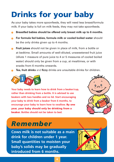# **Drinks for your baby**

As your baby takes more spoonfeeds, they will need less breast/formula milk. If your baby is full on milk feeds, they may not take spoonfeeds.

- **Breastfed babies should be offered only breast milk up to 6 months.**
- **For formula fed babies, formula milk or cooled boiled water** should be the only drinks given up to 4 months.
- **Fruit juices** should not be given in place of milk, from a bottle or at bedtime. Small amounts of well-diluted, unsweetened fruit juice (dilute 1 measure of pure juice to 4 or 5 measures of cooled boiled water) should only be given from a cup, at mealtimes, or with snacks from 6 months onwards.
- **Tea, fruit drinks** and **fizzy** drinks are unsuitable drinks for children.



**Your baby needs to learn how to drink from a beaker/cup, rather than drinking from a bottle. It is advised to use beakers with two handles and no lid. Start encouraging your baby to drink from a beaker from 6 months, to encourage your baby to learn how to swallow. By one year, your baby should only be drinking from a beaker. Bottles should not be taken to bed.**



### *Remember*

**Cows milk is not suitable as a main drink for children under 1 year. Small quantities to moisten your baby's solids may be gradually introduced from 6 months.**

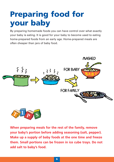## **Preparing food for your baby**

By preparing homemade foods you can have control over what exactly your baby is eating. It is good for your baby to become used to eating home-prepared foods from an early age. Home-prepared meals are often cheaper than jars of baby food.





**When preparing meals for the rest of the family, remove your baby's portion before adding seasoning (salt, pepper). Make up a supply of baby foods at the one time and freeze them. Small portions can be frozen in ice cube trays. Do not add salt to baby's food.**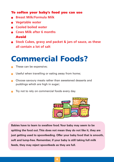#### **To soften your baby's food you can use**

- **Breast Milk/Formula Milk**
- **Vegetable water**
- **Cooled boiled water**
- **Cows Milk after 6 months Avoid**
- **Stock Cubes, gravy and packet & jars of sauce, as these all contain a lot of salt**

### **Commercial Foods?**

- These can be expensive;
- Useful when travelling or eating away from home;
- **Choose savoury meals rather than sweetened desserts and** puddings which are high in sugar;
- Try not to rely on commercial foods every day.



**Babies have to learn to swallow food.Your baby may seem to be spitting the food out.This does not mean they do not like it, they are just getting used to spoonfeeding. Offer your baby food that is smooth, soft and lump-free. Remember, if your baby is still taking full milk feeds, they may reject spoonfeeds as they are full.**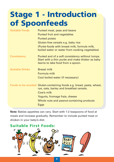### **Stage 1 - Introduction of Spoonfeeds**

| <b>Suitable Foods</b>  | Puréed meat, peas and beans<br>Puréed fruit and vegetables<br>Puréed potato<br>Gluten-free cereals e.g. baby rice<br>(Purée-foods with breast milk, formula milk,<br>boiled water or water from cooking vegetables)    |
|------------------------|------------------------------------------------------------------------------------------------------------------------------------------------------------------------------------------------------------------------|
| <b>Consistency</b>     | Puréed and of a soft consistency without lumps.<br>Start with a thin purée and make thicker as baby<br>learns to take food from a spoon.                                                                               |
| <b>Suitable Drinks</b> | <b>Breast milk</b><br>Formula milk<br>Cool boiled water (if necessary)                                                                                                                                                 |
|                        | Foods to be avoided Gluten-containing foods e.g. bread, pasta, wheat,<br>rye, oats, barley and breakfast cereals.<br>Cow's milk<br>Yogurts, fromage frais, cheese<br>Whole nuts and peanut-containing products<br>Eggs |

**Note:** Babies appetites can vary. Start with 1-2 teaspoons of food at meals and increase gradually. Remember to include puréed meat or chicken in your baby's diet.

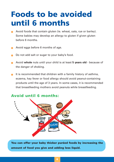### **Foods to be avoided until 6 months**

- Avoid foods that contain gluten (ie. wheat, oats, rye or barley). Some babies may develop an allergy to gluten if given gluten before 6 months.
- Avoid eggs before 6 months of age.
- Do not add salt or sugar to your baby's food.
- Avoid **whole** nuts until your child is at least **5 years old** because of the danger of choking.
- It is recommended that children with a family history of asthma, eczema, hay fever or food allergy should avoid peanut-containing products until the age of 3 years. In some cases, it is recommended that breastfeeding mothers avoid peanuts while breastfeeding.



**You can offer your baby thicker puréed foods by increasing the amount of food you give and adding less liquid.**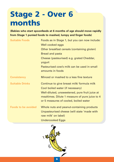### **Stage 2 - Over 6 months**

**(Babies who start spoonfeeds at 6 months of age should move rapidly from Stage 1 puréed foods to mashed, lumpy and finger foods)**

| <b>Suitable Foods</b>      | Foods as in Stage 1, but you can now include:                   |
|----------------------------|-----------------------------------------------------------------|
|                            | Well cooked eggs                                                |
|                            | Other breakfast cereals (containing gluten)                     |
|                            | <b>Bread and pasta</b>                                          |
|                            | Cheese (pasteurised) e.g. grated Cheddar,<br>yogurt             |
|                            | Pasteurised cow's milk can be used in small<br>amounts in foods |
| <b>Consistency</b>         | Minced or mashed to a less fine texture                         |
| <b>Suitable Drinks</b>     | Continue to give breast milk/ formula milk                      |
|                            | Cool boiled water (if necessary)                                |
|                            | Well-diluted, unsweetened, pure fruit juice at                  |
|                            | mealtimes. Dilute 1 measure of pure juice to 4                  |
|                            | or 5 measures of cooled, boiled water                           |
| <b>Foods to be avoided</b> | Whole nuts and peanut-containing products                       |
|                            | Unpasteurised cheese (will state 'made with                     |
|                            | raw milk' on label)                                             |
|                            | <b>Undercooked Eggs</b>                                         |

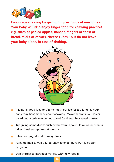

**Encourage chewing by giving lumpier foods at mealtimes. Your baby will also enjoy finger food for chewing practice! e.g. slices of peeled apples, banana, fingers of toast or bread, sticks of carrots, cheese cubes - but do not leave your baby alone, in case of choking.**



- It is not a good idea to offer smooth purées for too long, as your baby may become lazy about chewing. Make the transition easier by adding a little mashed or grated food into their usual purées.
- Try giving some drinks such as breastmilk, formula or water, from a lidless beaker/cup, from 6 months.
- Introduce yogurt and fromage frais.
- At some meals, well-diluted unsweetened, pure fruit juice can be given.
- Don't forget to introduce variety with new foods!

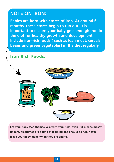#### **NOTE ON IRON:**

**Babies are born with stores of iron. At around 6 months, these stores begin to run out. It is important to ensure your baby gets enough iron in the diet for healthy growth and development. Include iron-rich foods ( such as lean meat, cereals, beans and green vegetables) in the diet regularly.**

**Iron Rich Foods:**



**Let your baby feed themselves, with your help, even if it means messy fingers. Mealtimes are a time of learning and should be fun. Never leave your baby alone when they are eating.**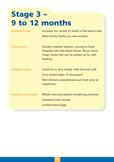### **Stage 3 – 9 to 12 months**

Suitable Foods **Increase the variety of foods in the baby's diet.** Most family foods are now suitable. **Consistency** Chunky mashed texture, moving to food chopped into bite-sized pieces. Serve some finger foods that can be picked up for selffeeding. Suitable Drinks **Continue to give breast milk/ formula milk** Cool boiled water (if necessary) Well-diluted unsweetened pure fruit juice at mealtimes. **Foods to be avoided** Whole nuts and peanut-containing products Unpasteurised cheese Undercooked Eggs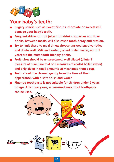

#### **Your baby's teeth:**

- **Sugary snacks such as sweet biscuits, chocolate or sweets will damage your baby's teeth.**
- **Frequent drinks of fruit juice, fruit drinks, squashes and fizzy drinks, between meals, will also cause tooth decay and erosion.**
- **Try to limit these to meal times; choose unsweetened varieties and dilute well. Milk and water (cooled boiled water, up to 1 year) are the most tooth-friendly drinks.**
- **Fruit juices should be unsweetened, well diluted (dilute 1 measure of pure juice to 4 or 5 measures of cooled boiled water) and only given in small amounts, at mealtimes, from a cup.**
- **Teeth should be cleaned gently from the time of their appearance, with a soft brush and water.**
- **Fluoride toothpaste is not suitable for children under 2 years of age. After two years, a pea-sized amount of toothpaste can be used.**

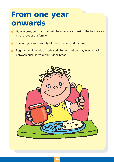### **From one year onwards**

- By one year, your baby should be able to eat most of the food eaten by the rest of the family.
- Encourage a wide variety of foods, tastes and textures.
- Regular small meals are advised. Some children may need snacks in between such as yogurts, fruit or bread.

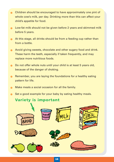- Children should be encouraged to have approximately one pint of whole cow's milk, per day. Drinking more than this can affect your child's appetite for food.
- **Combust** Low-fat milk should not be given before 2 years and skimmed milk before 5 years.
- **At this stage, all drinks should be from a feeding cup rather than** from a bottle.
- Avoid giving sweets, chocolate and other sugary food and drink. These harm the teeth, especially if taken frequently, and may replace more nutritious foods.
- Do not offer whole nuts until your child is at least 5 years old, because of the danger of choking.
- Remember, you are laying the foundations for a healthy eating pattern for life.
- Make meals a social occasion for all the family.
- Set a good example for your baby by eating healthy meals.

#### **Variety is important**

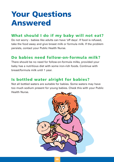### **Your Questions Answered**

#### **What should I do if my baby will not eat?**

Do not worry - babies like adults can have 'off days'. If food is refused, take the food away and give breast milk or formula milk. If the problem persists, contact your Public Health Nurse.

#### **Do babies need follow-on-formula milk?**

There should be no need for follow-on-formula milks, provided your baby has a nutritious diet with some iron-rich foods. Continue with breast/formula milk until 1 year.

#### **Is bottled water alright for babies?**

Not all bottled waters are suitable for babies. Some waters may have too much sodium present for young babies. Check this with your Public Health Nurse.

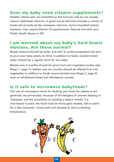#### **Does my baby need vitamin supplements?**

Healthy infants who are breastfed or fed formula milk do not usually require additional vitamins. A good mixed diet that includes a variety of foods will provide all the necessary vitamins. Some breastfed infants however, may require Vitamin D supplements. Discuss this with your Public Health Nurse or GP.

#### **I am worried about my baby's hard bowel motions. Are these normal?**

Bowel motions should be bulky and soft. To avoid constipation be sure to give your baby plenty to drink in addition to feeds. Cooled boiled water should be a regular drink for any baby.

Babies over 4 months should be given fruit and vegetable purées (see Stage 1, page 7); babies over six months should be offered fruit and vegetables in addition to foods recommended (see Stage 2, page 9) such as wholemeal bread and wholegrain cereals.

#### **Is it safe to microwave babyfoods?**

The use of microwave ovens for heating any foods for babies is not generally recommended, because of the dangers of uneven heating or 'hotspots' and the possibility of scalding a baby's mouth. If a microwave is used, the food must be thoroughly heated, left to stand for a few moments, mixed well and allowed to cool to feeding temperature.

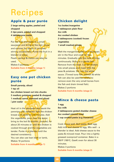### Recipes

#### **Apple & pear purée**

**2 large eating apples, peeled and chopped 2 ripe pears, peeled and chopped 4 tablespoons water**

Put the fruit and water in a small saucepan and bring to the boil. Cover and simmer for about 10 minutes, stirring occasionally. Purée the fruit in a blender or sieve. Peach, apricot & melon can also be

used.

Makes 5 portions. **Suitable from 4 months (stage 1)**

#### **Easy one pot chicken purée**

**Small parsnip, sliced 1 tsp oil 4oz chicken breast cut into chunks 3 medium potatoes, peeled & chopped 1 medium carrot, trimmed and sliced 1\_ <sup>2</sup> pint water**

Heat oil in the saucepan and sauté the parsnips until softened. Add the chicken breast and sauté for 3-4 minutes. Add the vegetables, pour over the water, bring to the boil & simmer, covered, for about 20 minutes or until the chicken is cooked through and the vegetables are tender. Purée in a blender until the desired consistency. You can also use lean beef or lamb, Makes 10 portions **Suitable from 4 months (stage 1)**

#### **Chicken delight**

**1oz butter/margarine 1 tablespoon plain flour 4oz milk 4oz cooked chicken 2 tablespoons (cooked) frozen vegetables 1 small mashed potato**

Melt the margarine/butter in a saucepan; stir in the flour and cook for two minutes. Gradually add the milk, stirring continuously. Bring to a gentle boil. Remove from the heat. Cut the chicken into small pieces and mash with the peas & potatoes. Stir into the white sauce. (Tinned tuna fish, salmon & white fish can also be used-be careful to remove even the very small bones from the fish and drain tinned fish). Makes 2 portions **Suitable from 6 months (stage 2)**

#### **Mince & cheese pasta**

**1 egg 8oz milk 2 tablespoons grated cheddar cheese 4oz cooked minced meat 1 cup cooked pasta (e.g macaroni)**

Cook mince well. Boil pasta. Beat egg. Add milk and cheese to egg. Mix well - a blender is ideal. Add cheese sauce to the pasta & minced meat. Pour into a lightly greased ovenproof container. Bake in a 350°F (180°C, Gas4) oven for about 30 minutes. Makes 3 portions

**Suitable from 6 months (stage 2)**